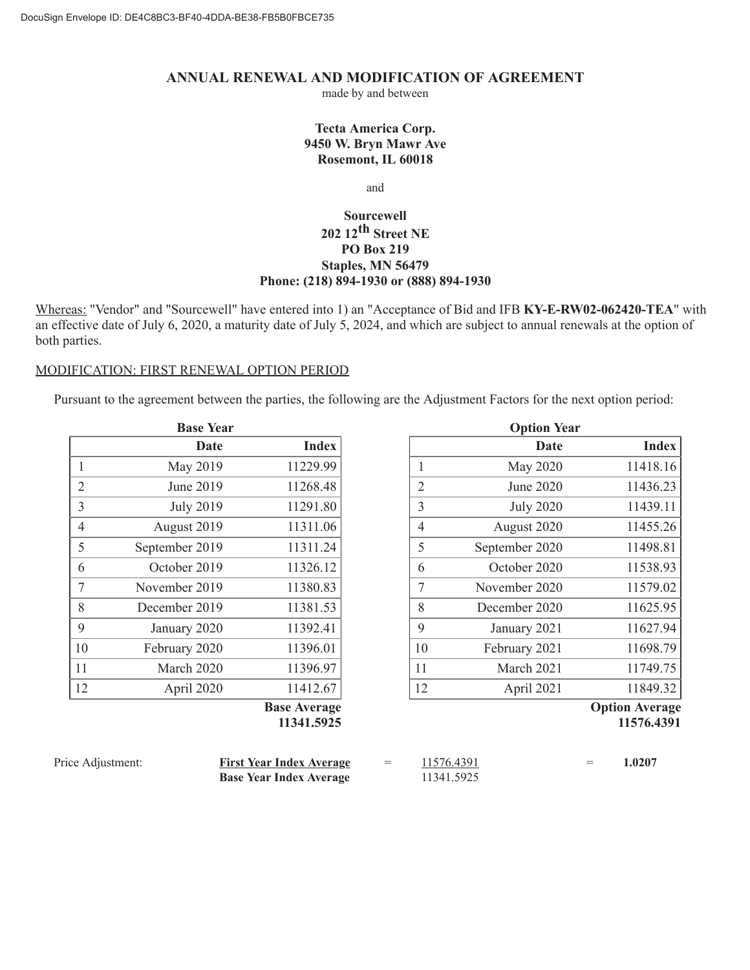## **ANNUAL RENEWAL AND MODIFICATION OF AGREEMENT**

made by and between

## **Tecta America Corp. 9450 W. Bryn Mawr Ave Rosemont, IL 60018**

and

## **Sourcewell 202 12th Street NE PO Box 219 Staples, MN 56479 Phone: (218) 894-1930 or (888) 894-1930**

Whereas: "Vendor" and "Sourcewell" have entered into 1) an "Acceptance of Bid and IFB **KY-E-RW02-062420-TEA**" with an effective date of July 6, 2020, a maturity date of July 5, 2024, and which are subject to annual renewals at the option of both parties.

## MODIFICATION: FIRST RENEWAL OPTION PERIOD

Pursuant to the agreement between the parties, the following are the Adjustment Factors for the next option period:

|                | <b>Base Year</b> |                     |
|----------------|------------------|---------------------|
|                | Date             | <b>Index</b>        |
| 1              | May 2019         | 11229.99            |
| $\overline{2}$ | June 2019        | 11268.48            |
| 3              | <b>July 2019</b> | 11291.80            |
| 4              | August 2019      | 11311.06            |
| 5              | September 2019   | 11311.24            |
| 6              | October 2019     | 11326.12            |
| 7              | November 2019    | 11380.83            |
| 8              | December 2019    | 11381.53            |
| 9              | January 2020     | 11392.41            |
| 10             | February 2020    | 11396.01            |
| 11             | March 2020       | 11396.97            |
| 12             | April 2020       | 11412.67            |
|                |                  | <b>Base Average</b> |

**Base Average 11341.5925**

|                | <b>Option Year</b> |              |
|----------------|--------------------|--------------|
|                | Date               | <b>Index</b> |
| 1              | May 2020           | 11418.16     |
| $\overline{2}$ | June 2020          | 11436.23     |
| 3              | <b>July 2020</b>   | 11439.11     |
| $\overline{4}$ | August 2020        | 11455.26     |
| 5              | September 2020     | 11498.81     |
| 6              | October 2020       | 11538.93     |
| 7              | November 2020      | 11579.02     |
| 8              | December 2020      | 11625.95     |
| 9              | January 2021       | 11627.94     |
| 10             | February 2021      | 11698.79     |
| 11             | March 2021         | 11749.75     |
| 12             | April 2021         | 11849.32     |
|                |                    |              |

**Option Average 11576.4391**

| Price Adjustment: | <b>First Year Index Average</b> | $\sim$ $\sim$ $\sim$ | 11576.4391 |  | 1.0207 |
|-------------------|---------------------------------|----------------------|------------|--|--------|
|                   | <b>Base Year Index Average</b>  |                      | 11341.5925 |  |        |